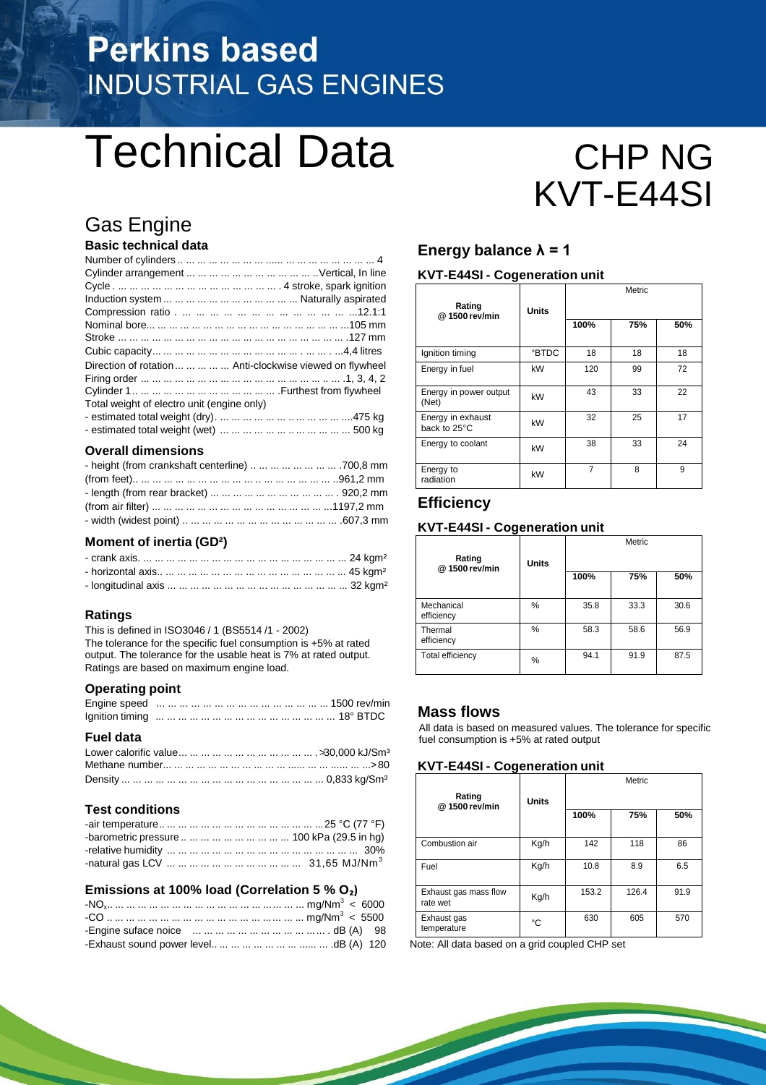# **Perkins based INDUSTRIAL GAS ENGINES**

# Technical Data CHP NG

# KVT-E44SI

## Gas Engine

#### **Basic technical data**

| Direction of rotation      Anti-clockwise viewed on flywheel |
|--------------------------------------------------------------|
|                                                              |
|                                                              |
| Total weight of electro unit (engine only)                   |
|                                                              |
|                                                              |

#### **Overall dimensions**

| - height (from crankshaft centerline)         700,8 mm |  |
|--------------------------------------------------------|--|
|                                                        |  |
|                                                        |  |
|                                                        |  |
|                                                        |  |

#### **Moment of inertia (GD²)**

#### **Ratings**

This is defined in ISO3046 / 1 (BS5514 /1 - 2002) The tolerance for the specific fuel consumption is +5% at rated output. The tolerance for the usable heat is 7% at rated output. Ratings are based on maximum engine load.

#### **Operating point**

#### **Fuel data**

#### **Test conditions**

| -barometric pressure          100 kPa (29.5 in hg) |  |
|----------------------------------------------------|--|
|                                                    |  |
|                                                    |  |

#### **Emissions at 100% load (Correlation 5 % O₂)**

#### **Energy balance λ = 1**

#### **KVT-E44SI - Cogeneration unit**

| Rating                            | Units       | Metric |     |     |
|-----------------------------------|-------------|--------|-----|-----|
| @1500 rev/min                     |             | 100%   | 75% | 50% |
| Ignition timing                   | <b>BTDC</b> | 18     | 18  | 18  |
| Energy in fuel                    | kW          | 120    | 99  | 72  |
| Energy in power output<br>(Net)   | kW          | 43     | 33  | 22  |
| Energy in exhaust<br>back to 25°C | kW          | 32     | 25  | 17  |
| Energy to coolant                 | kW          | 38     | 33  | 24  |
| Energy to<br>radiation            | kW          | 7      | 8   | 9   |

#### **Efficiency**

#### **KVT-E44SI - Cogeneration unit**

| Rating<br>@1500 rev/min  | <b>Units</b> | Metric |      |      |
|--------------------------|--------------|--------|------|------|
|                          |              | 100%   | 75%  | 50%  |
| Mechanical<br>efficiency | %            | 35.8   | 33.3 | 30.6 |
| Thermal<br>efficiency    | %            | 58.3   | 58.6 | 56.9 |
| Total efficiency         | %            | 94.1   | 91.9 | 87.5 |

#### **Mass flows**

All data is based on measured values. The tolerance for specific fuel consumption is +5% at rated output

#### **KVT-E44SI - Cogeneration unit**

| Rating                            | <b>Units</b> | Metric |       |      |
|-----------------------------------|--------------|--------|-------|------|
| @1500 rev/min                     |              | 100%   | 75%   | 50%  |
| Combustion air                    | Kg/h         | 142    | 118   | 86   |
| Fuel                              | Kg/h         | 10.8   | 8.9   | 6.5  |
| Exhaust gas mass flow<br>rate wet | Kg/h         | 153.2  | 126.4 | 91.9 |
| Exhaust gas<br>temperature        | °C           | 630    | 605   | 570  |

Note: All data based on a grid coupled CHP set